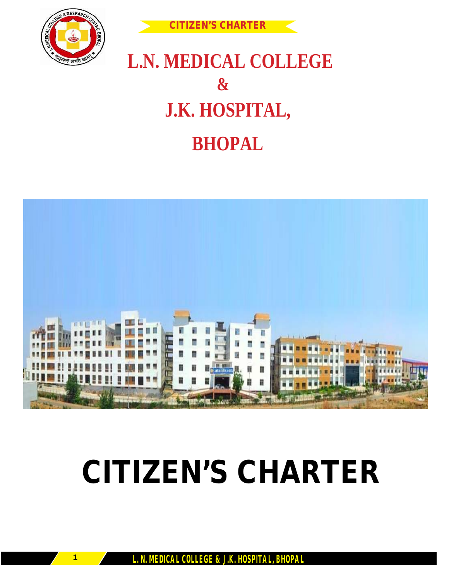



# **L.N. MEDICAL COLLEGE J.K. HOSPITAL, BHOPAL &**



# **CITIZEN'S CHARTER**

**1**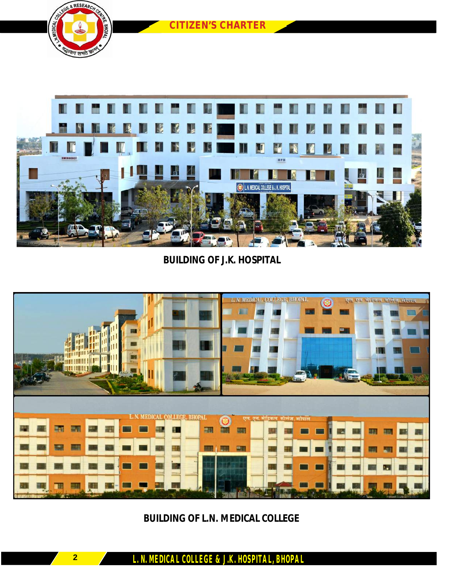

*CITIZEN* **CITIZEN'S***'***CHARTER** *S CHARTER*



 **BUILDING OF J.K. HOSPITAL**



**BUILDING OF L.N. MEDICAL COLLEGE**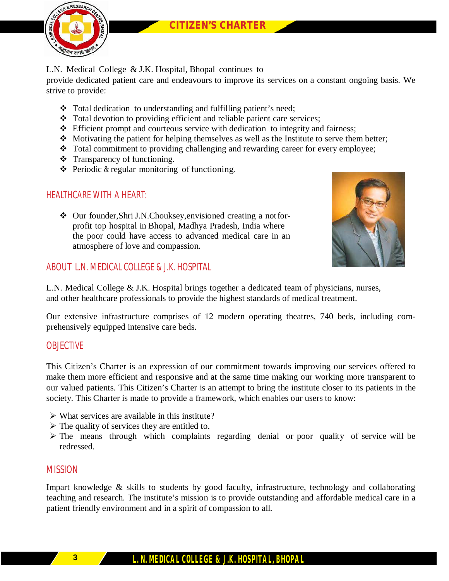

L.N. Medical College & J.K. Hospital, Bhopal continues to

provide dedicated patient care and endeavours to improve its services on a constant ongoing basis. We strive to provide:

- Total dedication to understanding and fulfilling patient's need;
- Total devotion to providing efficient and reliable patient care services;
- Efficient prompt and courteous service with dedication to integrity and fairness;
- $\triangleleft$  Motivating the patient for helping themselves as well as the Institute to serve them better;
- \* Total commitment to providing challenging and rewarding career for every employee;
- Transparency of functioning.
- $\triangle$  Periodic & regular monitoring of functioning.

# HEALTHCARE WITH A HEART:

◆ Our founder, Shri J.N.Chouksey, envisioned creating a not forprofit top hospital in Bhopal, Madhya Pradesh, India where the poor could have access to advanced medical care in an atmosphere of love and compassion.

# ABOUT L.N. MEDICAL COLLEGE & J.K. HOSPITAL



L.N. Medical College & J.K. Hospital brings together a dedicated team of physicians, nurses, and other healthcare professionals to provide the highest standards of medical treatment.

Our extensive infrastructure comprises of 12 modern operating theatres, 740 beds, including comprehensively equipped intensive care beds.

# **OBJECTIVE**

This Citizen's Charter is an expression of our commitment towards improving our services offered to make them more efficient and responsive and at the same time making our working more transparent to our valued patients. This Citizen's Charter is an attempt to bring the institute closer to its patients in the society. This Charter is made to provide a framework, which enables our users to know:

- $\triangleright$  What services are available in this institute?
- $\triangleright$  The quality of services they are entitled to.
- The means through which complaints regarding denial or poor quality of service will be redressed.

# MISSION

Impart knowledge & skills to students by good faculty, infrastructure, technology and collaborating teaching and research. The institute's mission is to provide outstanding and affordable medical care in a patient friendly environment and in a spirit of compassion to all.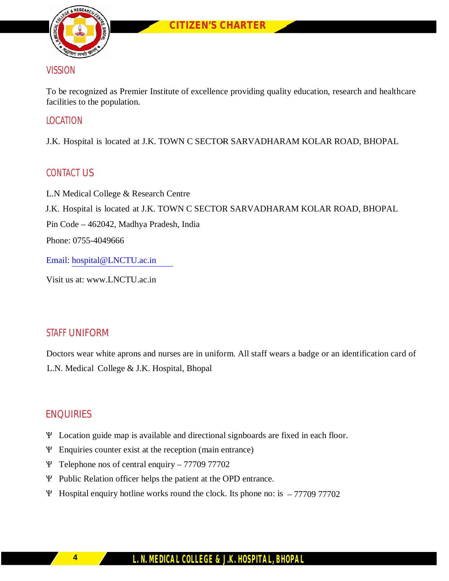

# **VISSION**

To be recognized as Premier Institute of excellence providing quality education, research and healthcare facilities to the population.

# LOCATION

J.K. Hospital is located at J.K. TOWN C SECTOR SARVADHARAM KOLAR ROAD, BHOPAL

# CONTACT US

L.N Medical College & Research Centre Pin Code – 462042, Madhya Pradesh, India J.K. Hospital is located at J.K. TOWN C SECTOR SARVADHARAM KOLAR ROAD, BHOPAL Phone: 0755-4049666 Email: [hospital@LNCTU.ac.in](mailto:principal.tmmcrc@tmu.ac.in) 

Visit us at: [www.LNCTU.a](http://www.tmu.ac.in)c.in

# STAFF UNIFORM

Doctors wear white aprons and nurses are in uniform. All staff wears a badge or an identification card of L.N. Medical College & J.K. Hospital, Bhopal

# ENQUIRIES

- Ѱ Location guide map is available and directional signboards are fixed in each floor.
- Ѱ Enquiries counter exist at the reception (main entrance)
- Ѱ Telephone nos of central enquiry 77709 77702
- Ѱ Public Relation officer helps the patient at the OPD entrance.
- Ѱ Hospital enquiry hotline works round the clock. Its phone no: is 77709 77702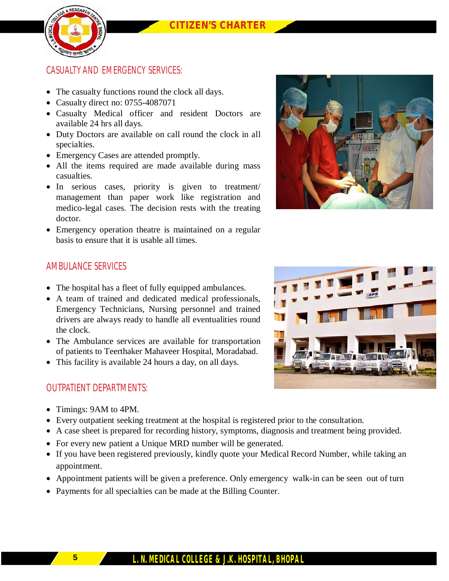

# CASUALTY AND EMERGENCY SERVICES:

- The casualty functions round the clock all days.
- Casualty direct no: 0755-4087071
- Casualty Medical officer and resident Doctors are available 24 hrs all days.
- Duty Doctors are available on call round the clock in all specialties.
- Emergency Cases are attended promptly.
- All the items required are made available during mass casualties.
- In serious cases, priority is given to treatment/ management than paper work like registration and medico-legal cases. The decision rests with the treating doctor.
- Emergency operation theatre is maintained on a regular basis to ensure that it is usable all times.



# AMBULANCE SERVICES

- The hospital has a fleet of fully equipped ambulances.
- A team of trained and dedicated medical professionals, Emergency Technicians, Nursing personnel and trained drivers are always ready to handle all eventualities round the clock.
- The Ambulance services are available for transportation of patients to Teerthaker Mahaveer Hospital, Moradabad.
- This facility is available 24 hours a day, on all days.

# OUTPATIENT DEPARTMENTS:



- Timings: 9AM to 4PM.
- Every outpatient seeking treatment at the hospital is registered prior to the consultation.
- A case sheet is prepared for recording history, symptoms, diagnosis and treatment being provided.
- For every new patient a Unique MRD number will be generated.
- If you have been registered previously, kindly quote your Medical Record Number, while taking an appointment.
- Appointment patients will be given a preference. Only emergency walk-in can be seen out of turn
- Payments for all specialties can be made at the Billing Counter.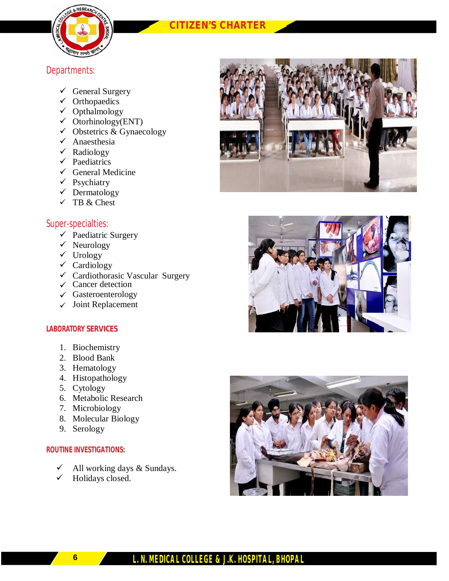

# *CITIZEN* **CITIZEN'S***'***CHARTER** *S CHARTER*

# Departments:

- $\checkmark$  General Surgery
- $\checkmark$  Orthopaedics
- $\checkmark$  Opthalmology
- $\checkmark$  Otorhinology(ENT)
- $\checkmark$  Obstetrics & Gynaecology
- $\checkmark$  Anaesthesia
- $\checkmark$  Radiology
- $\checkmark$  Paediatrics
- $\checkmark$  General Medicine
- $\checkmark$  Psychiatry
- $\checkmark$  Dermatology
- $\checkmark$  TB & Chest

# Super-specialties:

- $\checkmark$  Paediatric Surgery
- $\checkmark$  Neurology
- $\checkmark$  Urology
- $\checkmark$  Cardiology
- Cardiothorasic Vascular Surgery
- $\checkmark$  Cancer detection
- $\checkmark$  Gasteroenterology
- $\checkmark$  Joint Replacement

# **LABORATORY SERVICES**

- 1. Biochemistry
- 2. Blood Bank
- 3. Hematology
- 4. Histopathology
- 5. Cytology
- 6. Metabolic Research
- 7. Microbiology
- 8. Molecular Biology
- 9. Serology

### **ROUTINE INVESTIGATIONS:**

- All working days & Sundays.
- Holidays closed.







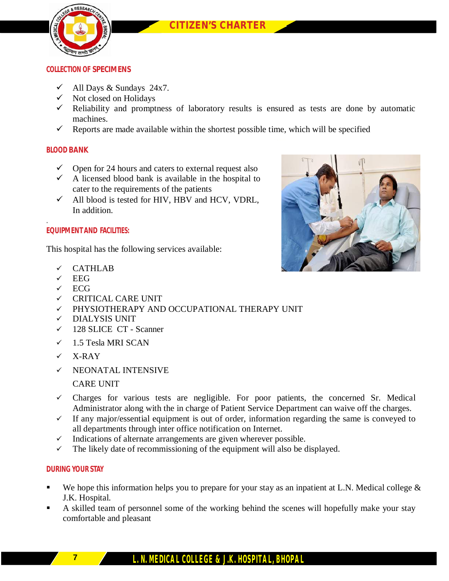

### **COLLECTION OF SPECIMENS**

- $\checkmark$  All Days & Sundays 24x7.
- $\checkmark$  Not closed on Holidays
- $\checkmark$  Reliability and promptness of laboratory results is ensured as tests are done by automatic machines.
- Reports are made available within the shortest possible time, which will be specified

### **BLOOD BANK**

- $\checkmark$  Open for 24 hours and caters to external request also
- A licensed blood bank is available in the hospital to cater to the requirements of the patients
- $\checkmark$  All blood is tested for HIV, HBV and HCV, VDRL, In addition.

### . **EQUIPMENTAND FACILITIES:**

This hospital has the following services available:

- CATHLAB
- $\times$  EEG.
- $\times$  ECG
- $\checkmark$  CRITICAL CARE UNIT
- PHYSIOTHERAPY AND OCCUPATIONAL THERAPY UNIT
- DIALYSIS UNIT
- 128 SLICE CT Scanner
- $\times$  1.5 Tesla MRI SCAN
- $\checkmark$  X-RAY
- $\checkmark$  NEONATAL INTENSIVE

### CARE UNIT

- $\checkmark$  Charges for various tests are negligible. For poor patients, the concerned Sr. Medical Administrator along with the in charge of Patient Service Department can waive off the charges.
- $\checkmark$  If any major/essential equipment is out of order, information regarding the same is conveyed to all departments through inter office notification on Internet.
- $\checkmark$  Indications of alternate arrangements are given wherever possible.
- $\checkmark$  The likely date of recommissioning of the equipment will also be displayed.

### **DURING YOUR STAY**

- We hope this information helps you to prepare for your stay as an inpatient at L.N. Medical college  $\&$ J.K. Hospital.
- A skilled team of personnel some of the working behind the scenes will hopefully make your stay comfortable and pleasant



**7**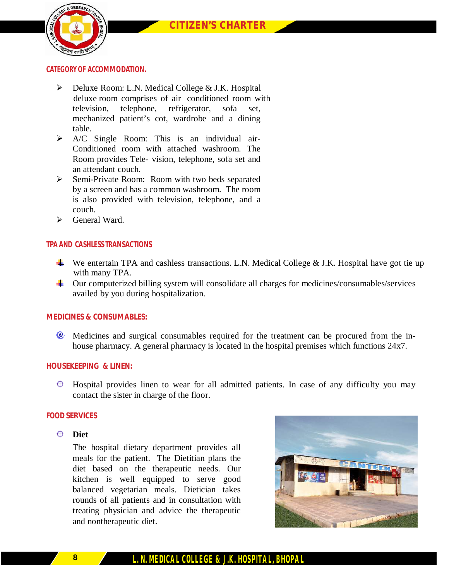

### **CATEGORY OF ACCOMMODATION.**

- $\triangleright$  Deluxe Room: L.N. Medical College & J.K. Hospital deluxe room comprises of air conditioned room with television, telephone, refrigerator, sofa set, mechanized patient's cot, wardrobe and a dining table.
- A/C Single Room: This is an individual air-Conditioned room with attached washroom. The Room provides Tele- vision, telephone, sofa set and an attendant couch.
- Semi-Private Room: Room with two beds separated by a screen and has a common washroom. The room is also provided with television, telephone, and a couch.
- General Ward.

### **TPA AND CASHLESS TRANSACTIONS**

- We entertain TPA and cashless transactions. L.N. Medical College  $& J.K.$  Hospital have got tie up with many TPA.
- Our computerized billing system will consolidate all charges for medicines/consumables/services availed by you during hospitalization.

### **MEDICINES & CONSUMABLES:**

 $\bullet$  Medicines and surgical consumables required for the treatment can be procured from the inhouse pharmacy. A general pharmacy is located in the hospital premises which functions 24x7.

### **HOUSEKEEPING & LINEN:**

 $\oplus$ Hospital provides linen to wear for all admitted patients. In case of any difficulty you may contact the sister in charge of the floor.

### **FOOD SERVICES**

### **Diet**

The hospital dietary department provides all meals for the patient. The Dietitian plans the diet based on the therapeutic needs. Our kitchen is well equipped to serve good balanced vegetarian meals. Dietician takes rounds of all patients and in consultation with treating physician and advice the therapeutic and nontherapeutic diet.

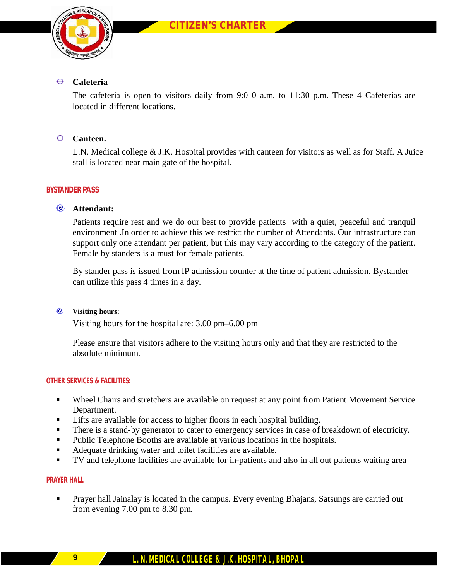

#### ⊕ **Cafeteria**

The cafeteria is open to visitors daily from 9:0 0 a.m. to 11:30 p.m. These 4 Cafeterias are located in different locations.

#### $\oplus$ **Canteen.**

L.N. Medical college & J.K. Hospital provides with canteen for visitors as well as for Staff. A Juice stall is located near main gate of the hospital.

# **BYSTANDER PASS**

# **Attendant:**

Patients require rest and we do our best to provide patients with a quiet, peaceful and tranquil environment .In order to achieve this we restrict the number of Attendants. Our infrastructure can support only one attendant per patient, but this may vary according to the category of the patient. Female by standers is a must for female patients.

By stander pass is issued from IP admission counter at the time of patient admission. Bystander can utilize this pass 4 times in a day.

#### $\bullet$ **Visiting hours:**

Visiting hours for the hospital are: 3.00 pm–6.00 pm

Please ensure that visitors adhere to the visiting hours only and that they are restricted to the absolute minimum.

# **OTHER SERVICES & FACILITIES:**

- Wheel Chairs and stretchers are available on request at any point from Patient Movement Service Department.
- Lifts are available for access to higher floors in each hospital building.
- There is a stand-by generator to cater to emergency services in case of breakdown of electricity.
- Public Telephone Booths are available at various locations in the hospitals.
- Adequate drinking water and toilet facilities are available.
- TV and telephone facilities are available for in-patients and also in all out patients waiting area

### **PRAYER HALL**

 Prayer hall Jainalay is located in the campus. Every evening Bhajans, Satsungs are carried out from evening 7.00 pm to 8.30 pm.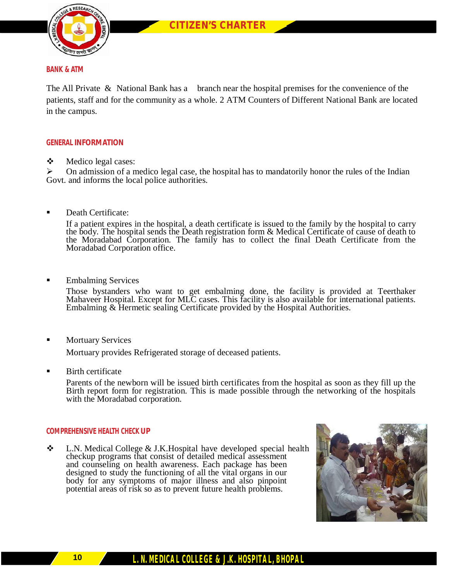

### **BANK & ATM**

The All Private  $\&$  National Bank has a branch near the hospital premises for the convenience of the patients, staff and for the community as a whole. 2 ATM Counters of Different National Bank are located in the campus.

### **GENERAL INFORMATION**

Medico legal cases:

 $\triangleright$  On admission of a medico legal case, the hospital has to mandatorily honor the rules of the Indian Govt. and informs the local police authorities.

Death Certificate:

If a patient expires in the hospital, a death certificate is issued to the family by the hospital to carry the body. The hospital sends the Death registration form & Medical Certificate of cause of death to the Moradabad Corporation. The family has to collect the final Death Certificate from the Moradabad Corporation office.

Embalming Services

Those bystanders who want to get embalming done, the facility is provided at Teerthaker Mahaveer Hospital. Except for MLC cases. This facility is also available for international patients. Embalming & Hermetic sealing Certificate provided by the Hospital Authorities.

Mortuary Services

Mortuary provides Refrigerated storage of deceased patients.

Birth certificate

Parents of the newborn will be issued birth certificates from the hospital as soon as they fill up the Birth report form for registration. This is made possible through the networking of the hospitals with the Moradabad corporation.

### **COMPREHENSIVE HEALTH CHECK UP**

 L.N. Medical College & J.K.Hospital have developed special health checkup programs that consist of detailed medical assessment and counseling on health awareness. Each package has been designed to study the functioning of all the vital organs in our body for any symptoms of major illness and also pinpoint potential areas of risk so as to prevent future health problems.

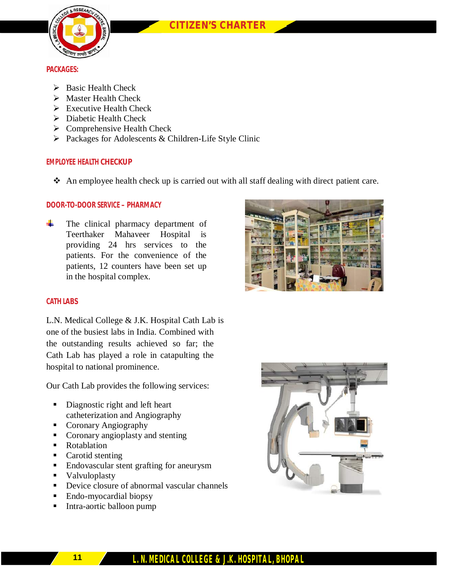

### **PACKAGES:**

- $\triangleright$  Basic Health Check
- $\triangleright$  Master Health Check
- $\triangleright$  Executive Health Check
- $\triangleright$  Diabetic Health Check
- $\triangleright$  Comprehensive Health Check
- $\triangleright$  Packages for Adolescents & Children-Life Style Clinic

### **EMPLOYEE HEALTH CHECKUP**

An employee health check up is carried out with all staff dealing with direct patient care.

### **DOOR-TO-DOOR SERVICE – PHARMACY**

₩. The clinical pharmacy department of Teerthaker Mahaveer Hospital is providing 24 hrs services to the patients. For the convenience of the patients, 12 counters have been set up in the hospital complex.

### **CATH LABS**

L.N. Medical College & J.K. Hospital Cath Lab is one of the busiest labs in India. Combined with the outstanding results achieved so far; the Cath Lab has played a role in catapulting the hospital to national prominence.

Our Cath Lab provides the following services:

- Diagnostic right and left heart catheterization and Angiography
- Coronary Angiography
- Coronary angioplasty and stenting
- Rotablation
- Carotid stenting
- **Endovascular stent grafting for aneurysm**
- **v** Valvuloplasty
- Device closure of abnormal vascular channels
- Endo-myocardial biopsy
- Intra-aortic balloon pump





# **L. N. MEDICAL COLLEGE & J.K. HOSPITAL, BHOPAL**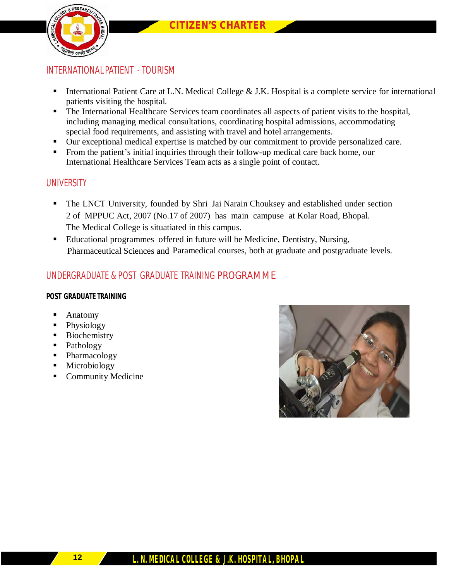

# INTERNATIONAL PATIENT - TOURISM

- International Patient Care at L.N. Medical College & J.K. Hospital is a complete service for international patients visiting the hospital.
- The International Healthcare Services team coordinates all aspects of patient visits to the hospital, including managing medical consultations, coordinating hospital admissions, accommodating special food requirements, and assisting with travel and hotel arrangements.
- Our exceptional medical expertise is matched by our commitment to provide personalized care.
- **From the patient's initial inquiries through their follow-up medical care back home, our** International Healthcare Services Team acts as a single point of contact.

# **UNIVERSITY**

- The LNCT University, founded by Shri Jai Narain Chouksey and established under section 2 of MPPUC Act, 2007 (No.17 of 2007) has main campuse at Kolar Road, Bhopal. The Medical College is situatiated in this campus.
- Educational programmes offered in future will be Medicine, Dentistry, Nursing, Pharmaceutical Sciences and Paramedical courses, both at graduate and postgraduate levels.

# UNDERGRADUATE & POST GRADUATE TRAINING PROGRAMME

### **POST GRADUATE TRAINING**

- **Anatomy**
- Physiology
- **Biochemistry**
- Pathology
- Pharmacology
- **Microbiology**
- **Community Medicine**

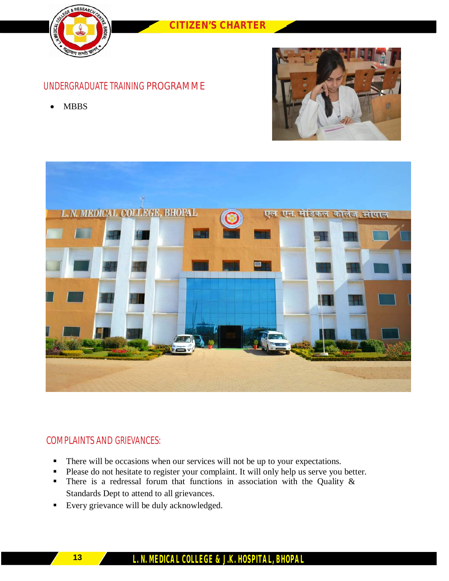

# UNDERGRADUATE TRAINING PROGRAMME

• MBBS





# COMPLAINTS AND GRIEVANCES:

- There will be occasions when our services will not be up to your expectations.
- Please do not hesitate to register your complaint. It will only help us serve you better.
- There is a redressal forum that functions in association with the Quality  $\&$ Standards Dept to attend to all grievances.
- Every grievance will be duly acknowledged.